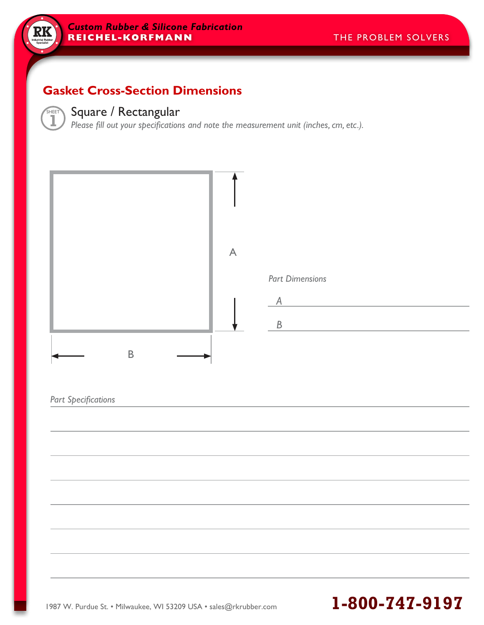#### Square / Rectangular

<sup>E</sup>STABLISHE<sup>D</sup> <sup>1</sup>89<sup>8</sup> RK<br>
Specialist

SHEET

*Please fill out your specifications and note the measurement unit (inches, cm, etc.).*



#### *Part Specifications*

1987 W. Purdue St. • Milwaukee, WI 53209 USA • sales@rkrubber.com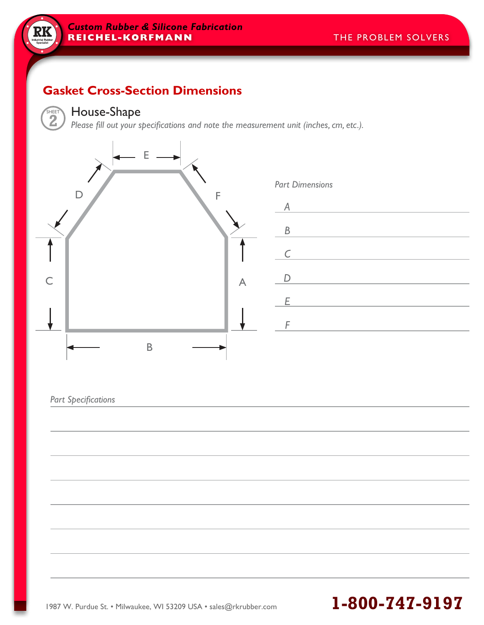

<sup>E</sup>STABLISHE<sup>D</sup> <sup>1</sup>89<sup>8</sup>  $\overline{\mathbf{R}}$ 

#### House-Shape

*Please fill out your specifications and note the measurement unit (inches, cm, etc.).*



| $\overline{A}$                   |  |
|----------------------------------|--|
| $\mathsf B$                      |  |
| $\mathcal{C}$                    |  |
| $\begin{array}{c} D \end{array}$ |  |
| E                                |  |
| F                                |  |
|                                  |  |

*Part Dimensions*

#### *Part Specifications*

1987 W. Purdue St. • Milwaukee, WI 53209 USA • sales@rkrubber.com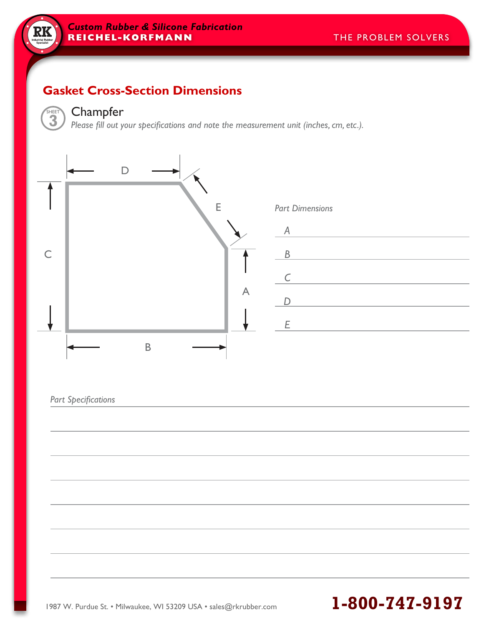

<sup>E</sup>STABLISHE<sup>D</sup> <sup>1</sup>89<sup>8</sup>  $\overline{\mathbf{R}}$ 

#### Champfer

*Please fill out your specifications and note the measurement unit (inches, cm, etc.).*



#### *Part Specifications*

1987 W. Purdue St. • Milwaukee, WI 53209 USA • sales@rkrubber.com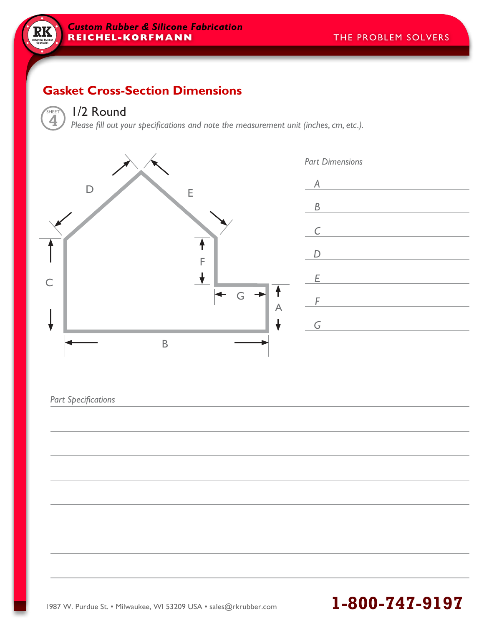#### 1/2Round

<sup>E</sup>STABLISHE<sup>D</sup> <sup>1</sup>89<sup>8</sup>

**4** SHEET

*Please fill out your specifications and note the measurement unit (inches, cm, etc.).*



*Part Specifications*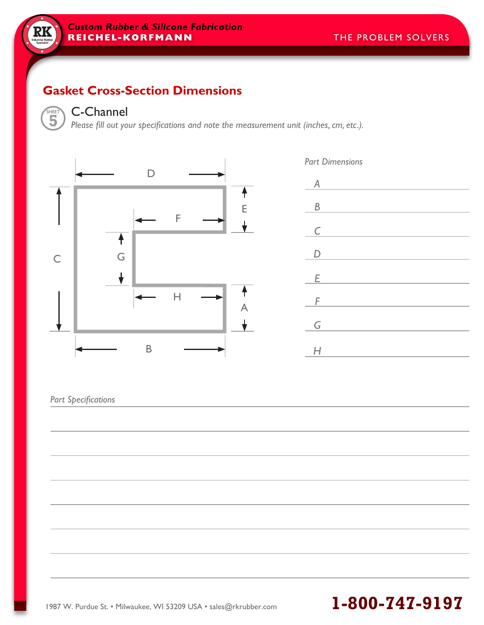#### C-Channel

<sup>E</sup>STABLISHE<sup>D</sup> <sup>1</sup>89<sup>8</sup>  $\mathbf{RK}$ ndustrial Rubb

SHEET

*Please fill out your specifications and note the measurement unit (inches, cm, etc.).*



| A                |  |  |
|------------------|--|--|
| $\boldsymbol{B}$ |  |  |
| $\mathsf C$      |  |  |
| D                |  |  |
| E                |  |  |
| F                |  |  |
| G                |  |  |
|                  |  |  |

*Part Dimensions*

#### *Part Specifications*

# 1987 W. Purdue St. • Milwaukee, WI 53209 USA • sales@rkrubber.com **1-800-747-9197**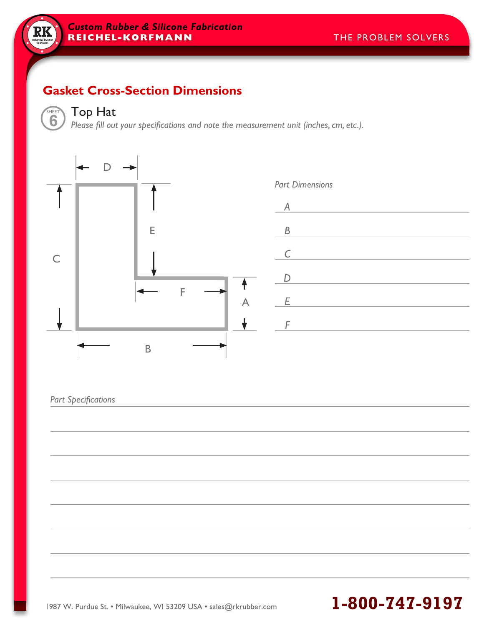

<sup>E</sup>STABLISHE<sup>D</sup> <sup>1</sup>89<sup>8</sup>  $\mathbf{RK}$ ndustrial Rubt<br>Specialist

#### Top Hat

*Please fill out your specifications and note the measurement unit (inches, cm, etc.).*



| <b>FUIL DIFFICITSIONS</b> |  |
|---------------------------|--|
| $\overline{A}$            |  |
| $\overline{B}$            |  |
| $\mathcal{C}$             |  |
| D                         |  |
| E                         |  |
| F                         |  |
|                           |  |

#### *Part Specifications*

1987 W. Purdue St. • Milwaukee, WI 53209 USA • sales@rkrubber.com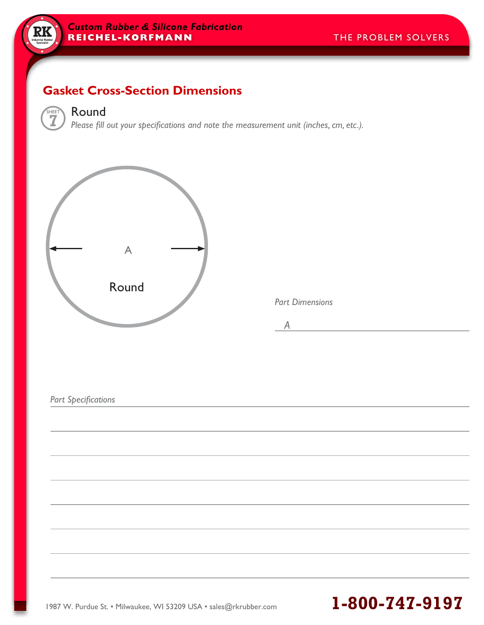

#### Round

*Please fill out your specifications and note the measurement unit (inches, cm, etc.).*



*Part Dimensions*

*A*

#### *Part Specifications*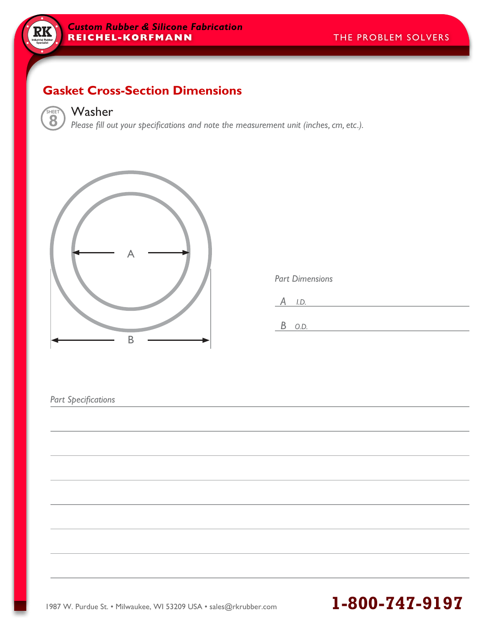

#### Washer

*Please fill out your specifications and note the measurement unit (inches, cm, etc.).*



| <b>Part Dimensions</b> |      |  |  |
|------------------------|------|--|--|
|                        | I.D. |  |  |
| B                      | 0.D. |  |  |

**1-800-747-9197**

#### *Part Specifications*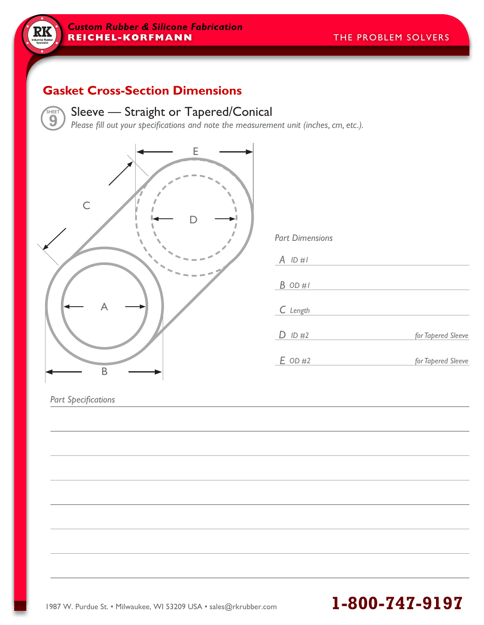

<sup>E</sup>STABLISHE<sup>D</sup> <sup>1</sup>89<sup>8</sup>  $\mathbf{R}$ K

# Sleeve — Straight or Tapered/Conical

*Please fill out your specifications and note the measurement unit (inches, cm, etc.).*



| <b>Part Dimensions</b> |                    |
|------------------------|--------------------|
| A ID #1                |                    |
| B OD #1                |                    |
| $C$ Length             |                    |
| ID#2                   | for Tapered Sleeve |
| $E$ OD #2              | for Tapered Sleeve |

**1-800-747-9197**

#### *Part Specifications*